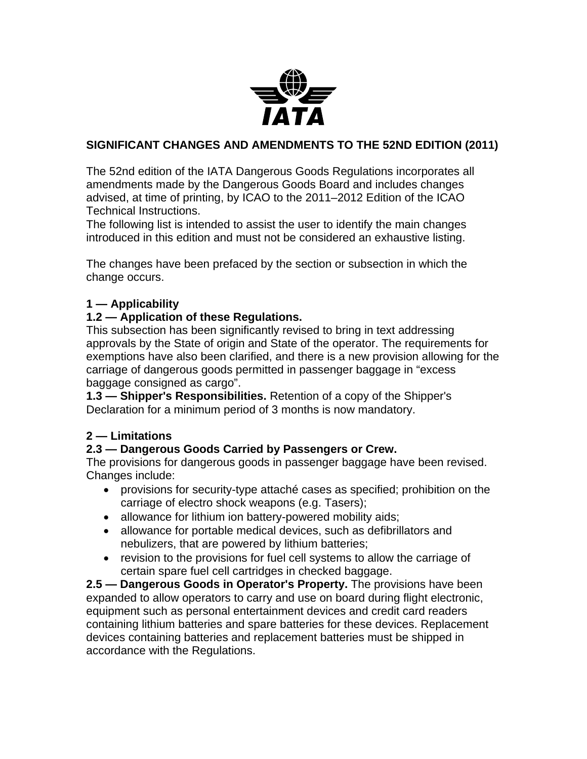

#### **SIGNIFICANT CHANGES AND AMENDMENTS TO THE 52ND EDITION (2011)**

The 52nd edition of the IATA Dangerous Goods Regulations incorporates all amendments made by the Dangerous Goods Board and includes changes advised, at time of printing, by ICAO to the 2011–2012 Edition of the ICAO Technical Instructions.

The following list is intended to assist the user to identify the main changes introduced in this edition and must not be considered an exhaustive listing.

The changes have been prefaced by the section or subsection in which the change occurs.

#### **1 — Applicability**

#### **1.2 — Application of these Regulations.**

This subsection has been significantly revised to bring in text addressing approvals by the State of origin and State of the operator. The requirements for exemptions have also been clarified, and there is a new provision allowing for the carriage of dangerous goods permitted in passenger baggage in "excess baggage consigned as cargo".

**1.3 — Shipper's Responsibilities.** Retention of a copy of the Shipper's Declaration for a minimum period of 3 months is now mandatory.

#### **2 — Limitations**

#### **2.3 — Dangerous Goods Carried by Passengers or Crew.**

The provisions for dangerous goods in passenger baggage have been revised. Changes include:

- provisions for security-type attaché cases as specified; prohibition on the carriage of electro shock weapons (e.g. Tasers);
- allowance for lithium ion battery-powered mobility aids;
- allowance for portable medical devices, such as defibrillators and nebulizers, that are powered by lithium batteries;
- revision to the provisions for fuel cell systems to allow the carriage of certain spare fuel cell cartridges in checked baggage.

**2.5 — Dangerous Goods in Operator's Property.** The provisions have been expanded to allow operators to carry and use on board during flight electronic, equipment such as personal entertainment devices and credit card readers containing lithium batteries and spare batteries for these devices. Replacement devices containing batteries and replacement batteries must be shipped in accordance with the Regulations.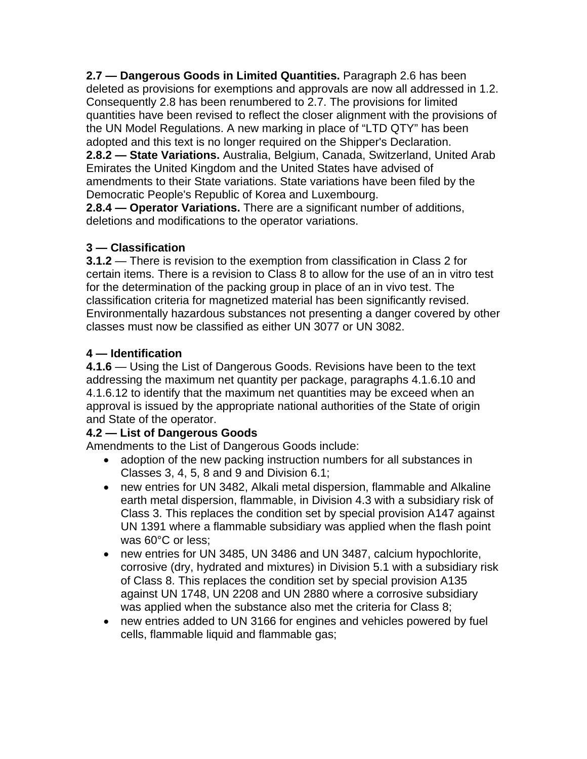**2.7 — Dangerous Goods in Limited Quantities.** Paragraph 2.6 has been deleted as provisions for exemptions and approvals are now all addressed in 1.2. Consequently 2.8 has been renumbered to 2.7. The provisions for limited quantities have been revised to reflect the closer alignment with the provisions of the UN Model Regulations. A new marking in place of "LTD QTY" has been adopted and this text is no longer required on the Shipper's Declaration. **2.8.2 — State Variations.** Australia, Belgium, Canada, Switzerland, United Arab Emirates the United Kingdom and the United States have advised of amendments to their State variations. State variations have been filed by the Democratic People's Republic of Korea and Luxembourg.

**2.8.4 — Operator Variations.** There are a significant number of additions, deletions and modifications to the operator variations.

## **3 — Classification**

**3.1.2** — There is revision to the exemption from classification in Class 2 for certain items. There is a revision to Class 8 to allow for the use of an in vitro test for the determination of the packing group in place of an in vivo test. The classification criteria for magnetized material has been significantly revised. Environmentally hazardous substances not presenting a danger covered by other classes must now be classified as either UN 3077 or UN 3082.

### **4 — Identification**

**4.1.6** — Using the List of Dangerous Goods. Revisions have been to the text addressing the maximum net quantity per package, paragraphs 4.1.6.10 and 4.1.6.12 to identify that the maximum net quantities may be exceed when an approval is issued by the appropriate national authorities of the State of origin and State of the operator.

### **4.2 — List of Dangerous Goods**

Amendments to the List of Dangerous Goods include:

- adoption of the new packing instruction numbers for all substances in Classes 3, 4, 5, 8 and 9 and Division 6.1;
- new entries for UN 3482, Alkali metal dispersion, flammable and Alkaline earth metal dispersion, flammable, in Division 4.3 with a subsidiary risk of Class 3. This replaces the condition set by special provision A147 against UN 1391 where a flammable subsidiary was applied when the flash point was 60°C or less;
- new entries for UN 3485, UN 3486 and UN 3487, calcium hypochlorite, corrosive (dry, hydrated and mixtures) in Division 5.1 with a subsidiary risk of Class 8. This replaces the condition set by special provision A135 against UN 1748, UN 2208 and UN 2880 where a corrosive subsidiary was applied when the substance also met the criteria for Class 8;
- new entries added to UN 3166 for engines and vehicles powered by fuel cells, flammable liquid and flammable gas;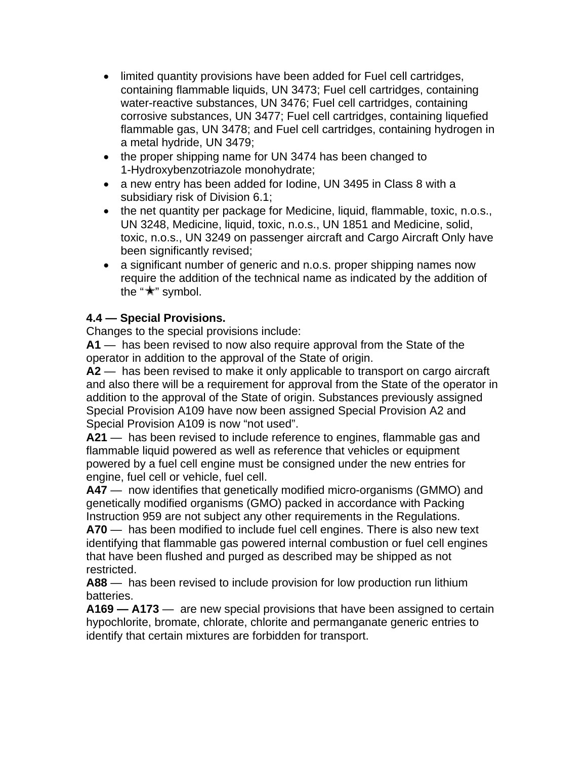- limited quantity provisions have been added for Fuel cell cartridges, containing flammable liquids, UN 3473; Fuel cell cartridges, containing water-reactive substances, UN 3476; Fuel cell cartridges, containing corrosive substances, UN 3477; Fuel cell cartridges, containing liquefied flammable gas, UN 3478; and Fuel cell cartridges, containing hydrogen in a metal hydride, UN 3479;
- the proper shipping name for UN 3474 has been changed to 1-Hydroxybenzotriazole monohydrate;
- a new entry has been added for Iodine, UN 3495 in Class 8 with a subsidiary risk of Division 6.1;
- the net quantity per package for Medicine, liquid, flammable, toxic, n.o.s., UN 3248, Medicine, liquid, toxic, n.o.s., UN 1851 and Medicine, solid, toxic, n.o.s., UN 3249 on passenger aircraft and Cargo Aircraft Only have been significantly revised;
- a significant number of generic and n.o.s. proper shipping names now require the addition of the technical name as indicated by the addition of the " $\star$ " symbol.

### **4.4 — Special Provisions.**

Changes to the special provisions include:

**A1** — has been revised to now also require approval from the State of the operator in addition to the approval of the State of origin.

**A2** — has been revised to make it only applicable to transport on cargo aircraft and also there will be a requirement for approval from the State of the operator in addition to the approval of the State of origin. Substances previously assigned Special Provision A109 have now been assigned Special Provision A2 and Special Provision A109 is now "not used".

**A21** — has been revised to include reference to engines, flammable gas and flammable liquid powered as well as reference that vehicles or equipment powered by a fuel cell engine must be consigned under the new entries for engine, fuel cell or vehicle, fuel cell.

**A47** — now identifies that genetically modified micro-organisms (GMMO) and genetically modified organisms (GMO) packed in accordance with Packing Instruction 959 are not subject any other requirements in the Regulations.

**A70** — has been modified to include fuel cell engines. There is also new text identifying that flammable gas powered internal combustion or fuel cell engines that have been flushed and purged as described may be shipped as not restricted.

**A88** — has been revised to include provision for low production run lithium batteries.

**A169 — A173** — are new special provisions that have been assigned to certain hypochlorite, bromate, chlorate, chlorite and permanganate generic entries to identify that certain mixtures are forbidden for transport.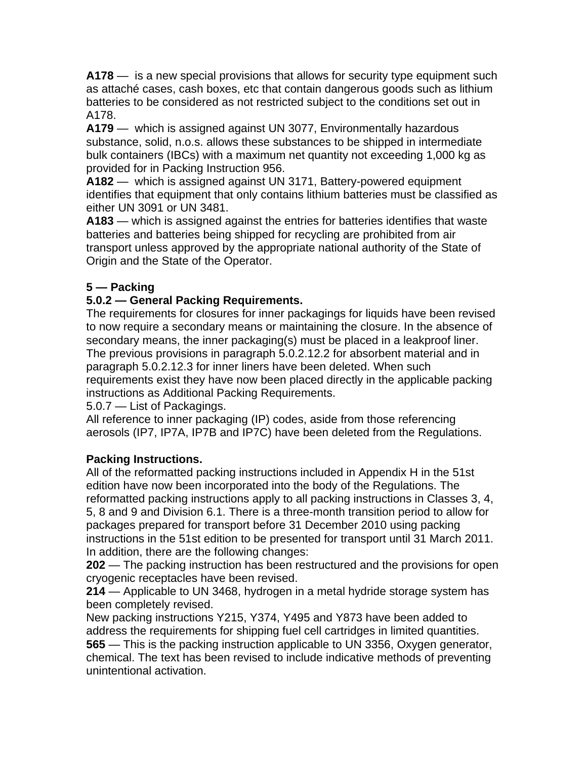**A178** — is a new special provisions that allows for security type equipment such as attaché cases, cash boxes, etc that contain dangerous goods such as lithium batteries to be considered as not restricted subject to the conditions set out in A178.

**A179** — which is assigned against UN 3077, Environmentally hazardous substance, solid, n.o.s. allows these substances to be shipped in intermediate bulk containers (IBCs) with a maximum net quantity not exceeding 1,000 kg as provided for in Packing Instruction 956.

**A182** — which is assigned against UN 3171, Battery-powered equipment identifies that equipment that only contains lithium batteries must be classified as either UN 3091 or UN 3481.

**A183** — which is assigned against the entries for batteries identifies that waste batteries and batteries being shipped for recycling are prohibited from air transport unless approved by the appropriate national authority of the State of Origin and the State of the Operator.

### **5 — Packing**

### **5.0.2 — General Packing Requirements.**

The requirements for closures for inner packagings for liquids have been revised to now require a secondary means or maintaining the closure. In the absence of secondary means, the inner packaging(s) must be placed in a leakproof liner. The previous provisions in paragraph 5.0.2.12.2 for absorbent material and in paragraph 5.0.2.12.3 for inner liners have been deleted. When such requirements exist they have now been placed directly in the applicable packing instructions as Additional Packing Requirements.

5.0.7 — List of Packagings.

All reference to inner packaging (IP) codes, aside from those referencing aerosols (IP7, IP7A, IP7B and IP7C) have been deleted from the Regulations.

### **Packing Instructions.**

All of the reformatted packing instructions included in Appendix H in the 51st edition have now been incorporated into the body of the Regulations. The reformatted packing instructions apply to all packing instructions in Classes 3, 4, 5, 8 and 9 and Division 6.1. There is a three-month transition period to allow for packages prepared for transport before 31 December 2010 using packing instructions in the 51st edition to be presented for transport until 31 March 2011. In addition, there are the following changes:

**202** — The packing instruction has been restructured and the provisions for open cryogenic receptacles have been revised.

**214** — Applicable to UN 3468, hydrogen in a metal hydride storage system has been completely revised.

New packing instructions Y215, Y374, Y495 and Y873 have been added to address the requirements for shipping fuel cell cartridges in limited quantities. **565** — This is the packing instruction applicable to UN 3356, Oxygen generator, chemical. The text has been revised to include indicative methods of preventing unintentional activation.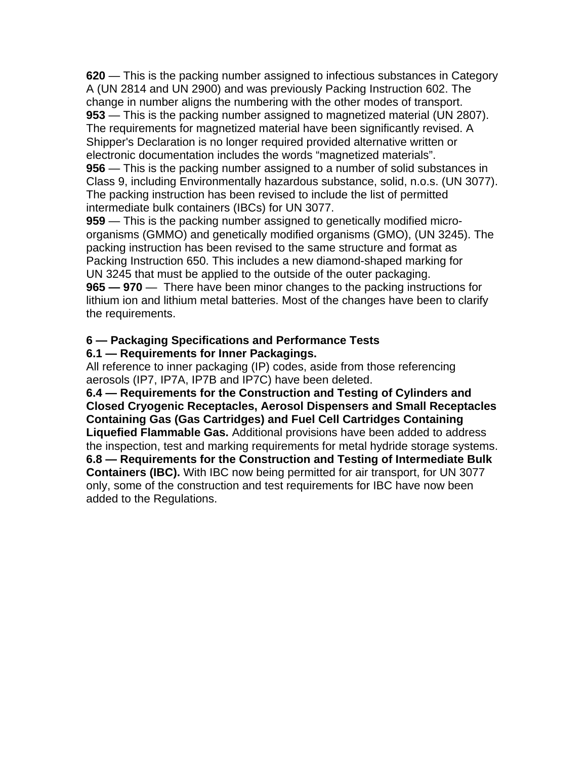**620** — This is the packing number assigned to infectious substances in Category A (UN 2814 and UN 2900) and was previously Packing Instruction 602. The change in number aligns the numbering with the other modes of transport. **953** — This is the packing number assigned to magnetized material (UN 2807). The requirements for magnetized material have been significantly revised. A Shipper's Declaration is no longer required provided alternative written or electronic documentation includes the words "magnetized materials". **956** — This is the packing number assigned to a number of solid substances in Class 9, including Environmentally hazardous substance, solid, n.o.s. (UN 3077). The packing instruction has been revised to include the list of permitted intermediate bulk containers (IBCs) for UN 3077.

**959** — This is the packing number assigned to genetically modified microorganisms (GMMO) and genetically modified organisms (GMO), (UN 3245). The packing instruction has been revised to the same structure and format as Packing Instruction 650. This includes a new diamond-shaped marking for UN 3245 that must be applied to the outside of the outer packaging. **965 — 970** — There have been minor changes to the packing instructions for lithium ion and lithium metal batteries. Most of the changes have been to clarify the requirements.

#### **6 — Packaging Specifications and Performance Tests**

#### **6.1 — Requirements for Inner Packagings.**

All reference to inner packaging (IP) codes, aside from those referencing aerosols (IP7, IP7A, IP7B and IP7C) have been deleted.

**6.4 — Requirements for the Construction and Testing of Cylinders and Closed Cryogenic Receptacles, Aerosol Dispensers and Small Receptacles Containing Gas (Gas Cartridges) and Fuel Cell Cartridges Containing Liquefied Flammable Gas.** Additional provisions have been added to address the inspection, test and marking requirements for metal hydride storage systems. **6.8 — Requirements for the Construction and Testing of Intermediate Bulk Containers (IBC).** With IBC now being permitted for air transport, for UN 3077 only, some of the construction and test requirements for IBC have now been added to the Regulations.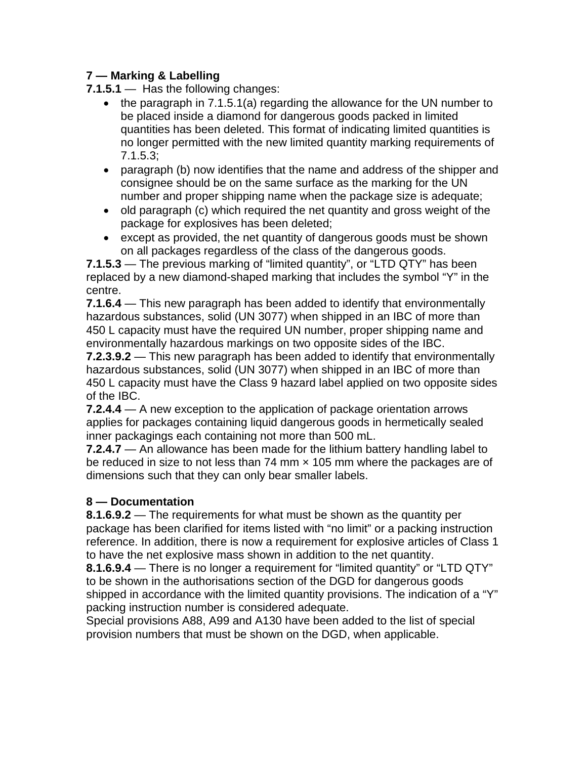### **7 — Marking & Labelling**

**7.1.5.1** — Has the following changes:

- the paragraph in 7.1.5.1(a) regarding the allowance for the UN number to be placed inside a diamond for dangerous goods packed in limited quantities has been deleted. This format of indicating limited quantities is no longer permitted with the new limited quantity marking requirements of 7.1.5.3;
- paragraph (b) now identifies that the name and address of the shipper and consignee should be on the same surface as the marking for the UN number and proper shipping name when the package size is adequate;
- old paragraph (c) which required the net quantity and gross weight of the package for explosives has been deleted;
- except as provided, the net quantity of dangerous goods must be shown on all packages regardless of the class of the dangerous goods.

**7.1.5.3** — The previous marking of "limited quantity", or "LTD QTY" has been replaced by a new diamond-shaped marking that includes the symbol "Y" in the centre.

**7.1.6.4** — This new paragraph has been added to identify that environmentally hazardous substances, solid (UN 3077) when shipped in an IBC of more than 450 L capacity must have the required UN number, proper shipping name and environmentally hazardous markings on two opposite sides of the IBC.

**7.2.3.9.2** — This new paragraph has been added to identify that environmentally hazardous substances, solid (UN 3077) when shipped in an IBC of more than 450 L capacity must have the Class 9 hazard label applied on two opposite sides of the IBC.

**7.2.4.4** — A new exception to the application of package orientation arrows applies for packages containing liquid dangerous goods in hermetically sealed inner packagings each containing not more than 500 mL.

**7.2.4.7** — An allowance has been made for the lithium battery handling label to be reduced in size to not less than 74 mm  $\times$  105 mm where the packages are of dimensions such that they can only bear smaller labels.

# **8 — Documentation**

**8.1.6.9.2** — The requirements for what must be shown as the quantity per package has been clarified for items listed with "no limit" or a packing instruction reference. In addition, there is now a requirement for explosive articles of Class 1 to have the net explosive mass shown in addition to the net quantity.

**8.1.6.9.4** — There is no longer a requirement for "limited quantity" or "LTD QTY" to be shown in the authorisations section of the DGD for dangerous goods shipped in accordance with the limited quantity provisions. The indication of a "Y" packing instruction number is considered adequate.

Special provisions A88, A99 and A130 have been added to the list of special provision numbers that must be shown on the DGD, when applicable.